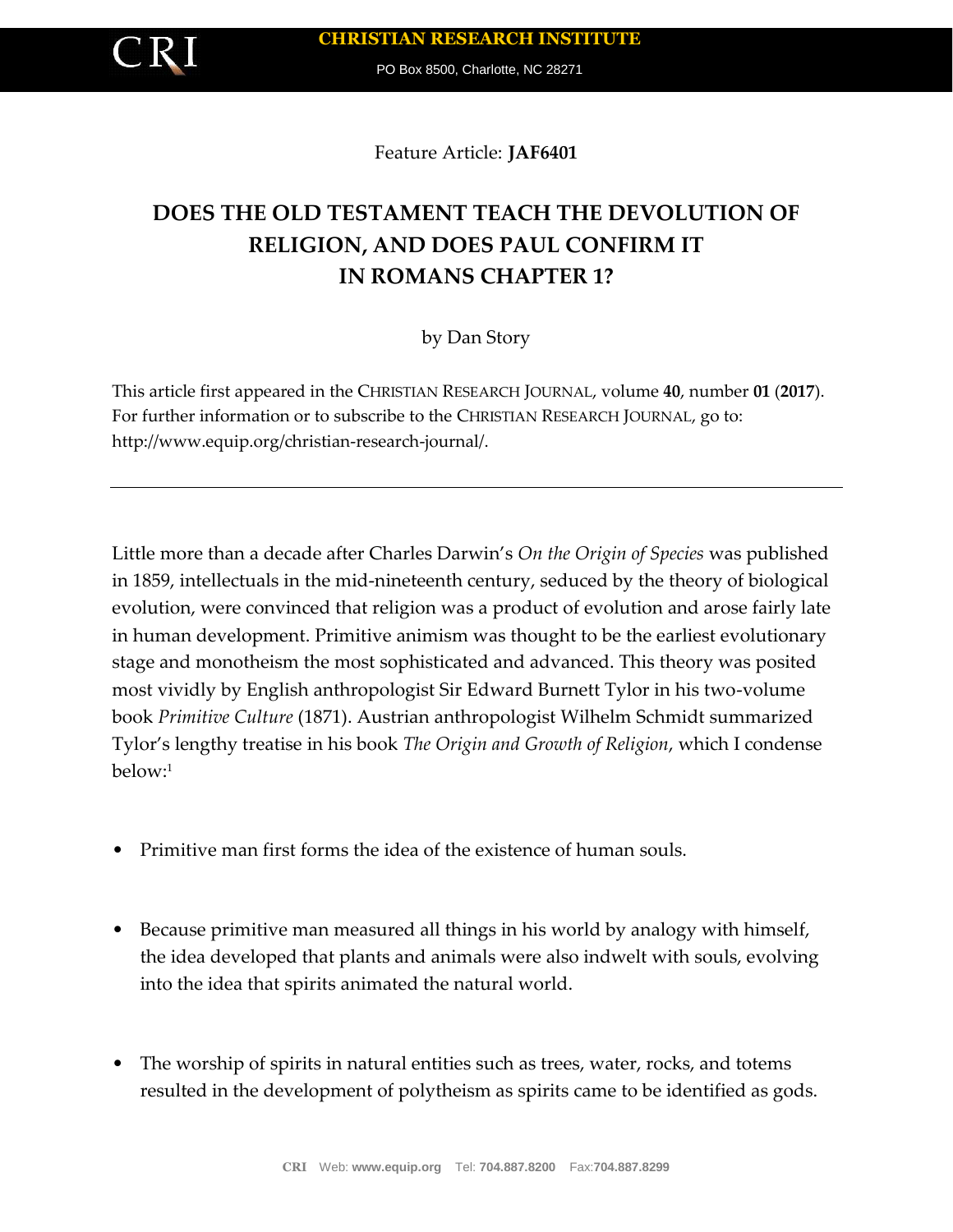PO Box 8500, Charlotte, NC 28271

Feature Article: **JAF6401**

# **DOES THE OLD TESTAMENT TEACH THE DEVOLUTION OF RELIGION, AND DOES PAUL CONFIRM IT IN ROMANS CHAPTER 1?**

## by Dan Story

This article first appeared in the CHRISTIAN RESEARCH JOURNAL, volume **40**, number **01** (**2017**). For further information or to subscribe to the CHRISTIAN RESEARCH JOURNAL, go to: http://www.equip.org/christian-research-journal/.

Little more than a decade after Charles Darwin's *On the Origin of Species* was published in 1859, intellectuals in the mid-nineteenth century, seduced by the theory of biological evolution, were convinced that religion was a product of evolution and arose fairly late in human development. Primitive animism was thought to be the earliest evolutionary stage and monotheism the most sophisticated and advanced. This theory was posited most vividly by English anthropologist Sir Edward Burnett Tylor in his two-volume book *Primitive Culture* (1871). Austrian anthropologist Wilhelm Schmidt summarized Tylor's lengthy treatise in his book *The Origin and Growth of Religion*, which I condense below:<sup>1</sup>

- Primitive man first forms the idea of the existence of human souls.
- Because primitive man measured all things in his world by analogy with himself, the idea developed that plants and animals were also indwelt with souls, evolving into the idea that spirits animated the natural world.
- The worship of spirits in natural entities such as trees, water, rocks, and totems resulted in the development of polytheism as spirits came to be identified as gods.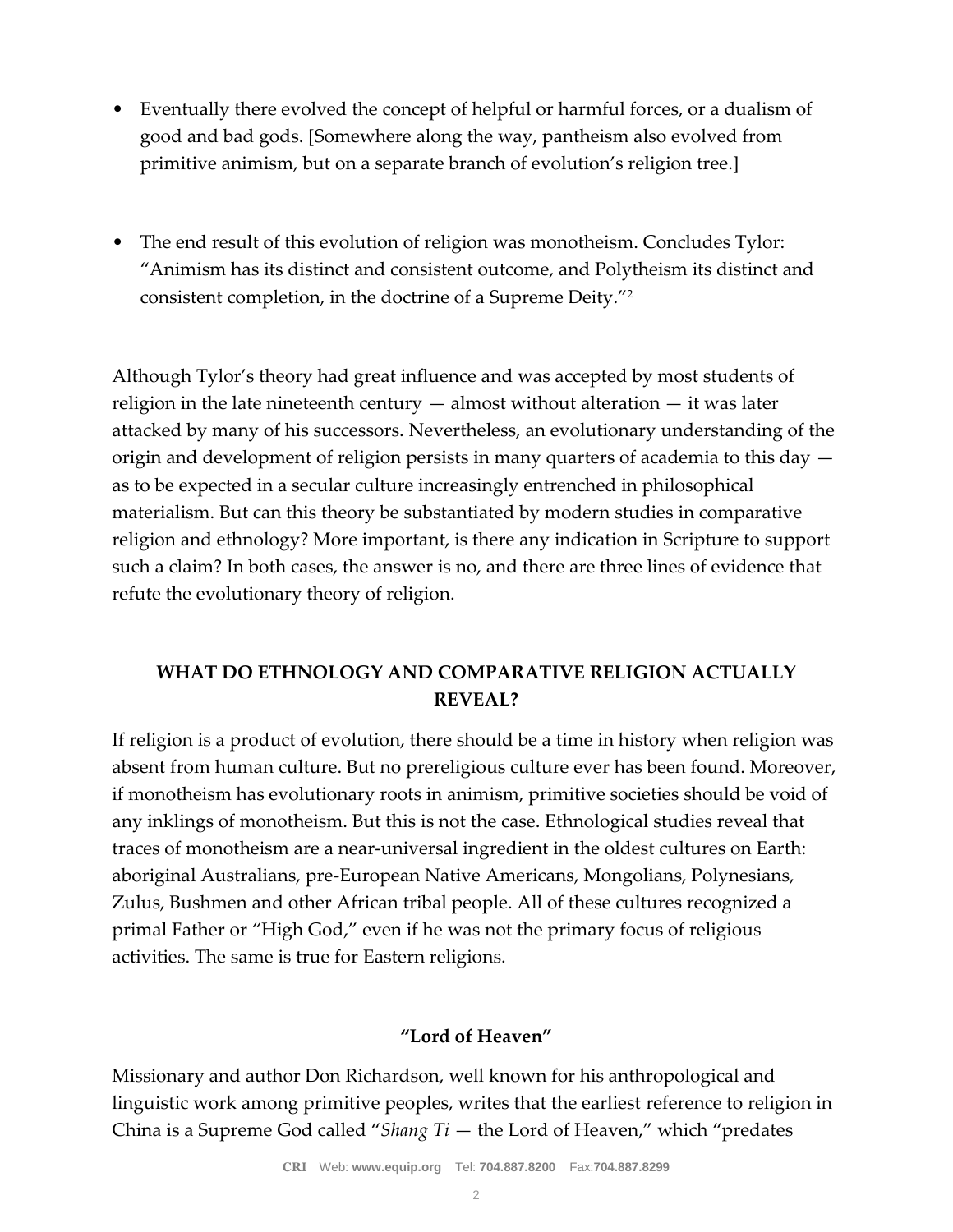- Eventually there evolved the concept of helpful or harmful forces, or a dualism of good and bad gods. [Somewhere along the way, pantheism also evolved from primitive animism, but on a separate branch of evolution's religion tree.]
- The end result of this evolution of religion was monotheism. Concludes Tylor: "Animism has its distinct and consistent outcome, and Polytheism its distinct and consistent completion, in the doctrine of a Supreme Deity."<sup>2</sup>

Although Tylor's theory had great influence and was accepted by most students of religion in the late nineteenth century  $-$  almost without alteration  $-$  it was later attacked by many of his successors. Nevertheless, an evolutionary understanding of the origin and development of religion persists in many quarters of academia to this day as to be expected in a secular culture increasingly entrenched in philosophical materialism. But can this theory be substantiated by modern studies in comparative religion and ethnology? More important, is there any indication in Scripture to support such a claim? In both cases, the answer is no, and there are three lines of evidence that refute the evolutionary theory of religion.

## **WHAT DO ETHNOLOGY AND COMPARATIVE RELIGION ACTUALLY REVEAL?**

If religion is a product of evolution, there should be a time in history when religion was absent from human culture. But no prereligious culture ever has been found. Moreover, if monotheism has evolutionary roots in animism, primitive societies should be void of any inklings of monotheism. But this is not the case. Ethnological studies reveal that traces of monotheism are a near-universal ingredient in the oldest cultures on Earth: aboriginal Australians, pre-European Native Americans, Mongolians, Polynesians, Zulus, Bushmen and other African tribal people. All of these cultures recognized a primal Father or "High God," even if he was not the primary focus of religious activities. The same is true for Eastern religions.

### **"Lord of Heaven"**

Missionary and author Don Richardson, well known for his anthropological and linguistic work among primitive peoples, writes that the earliest reference to religion in China is a Supreme God called "*Shang Ti* — the Lord of Heaven," which "predates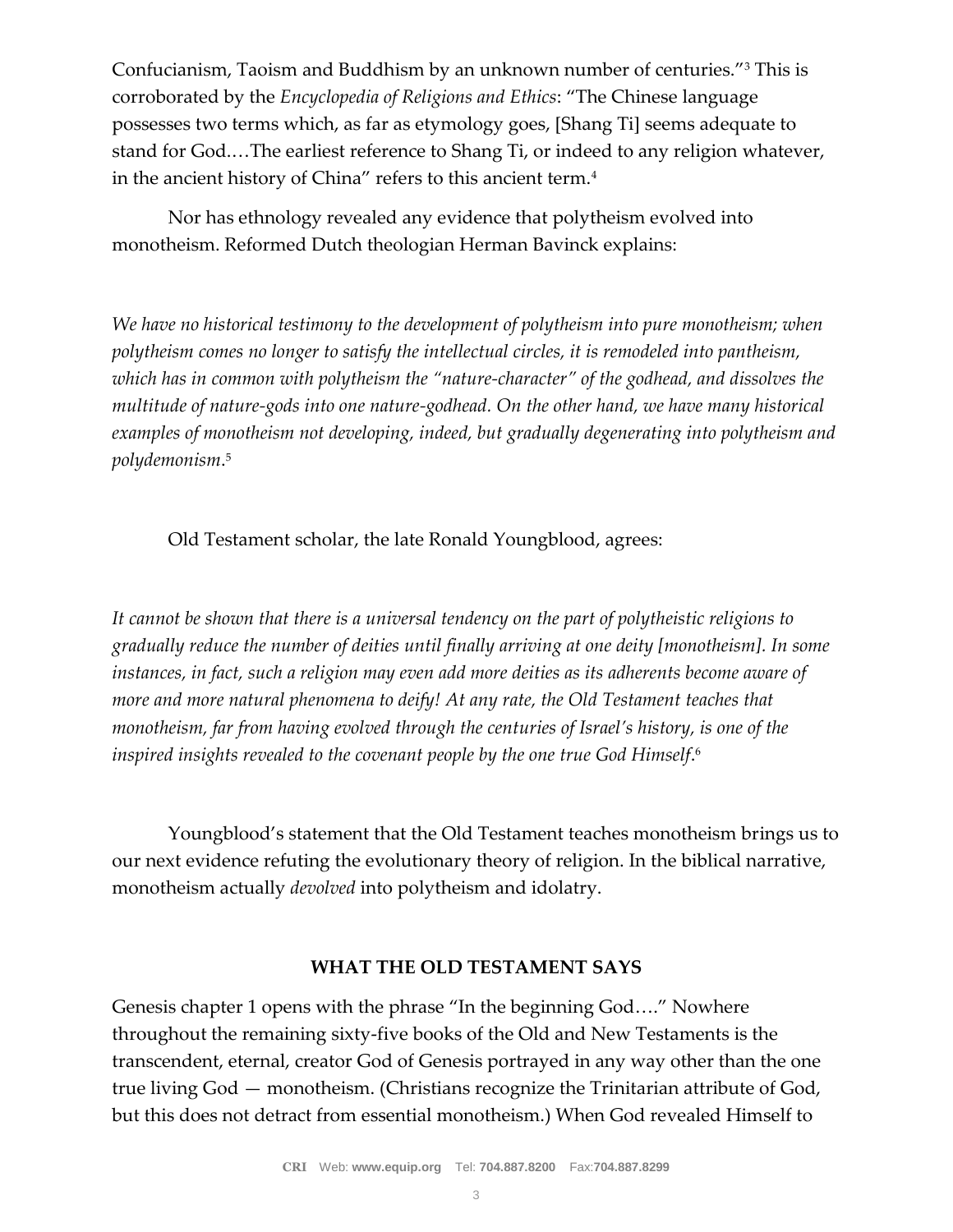Confucianism, Taoism and Buddhism by an unknown number of centuries."<sup>3</sup> This is corroborated by the *Encyclopedia of Religions and Ethics*: "The Chinese language possesses two terms which, as far as etymology goes, [Shang Ti] seems adequate to stand for God.…The earliest reference to Shang Ti, or indeed to any religion whatever, in the ancient history of China" refers to this ancient term.<sup>4</sup>

Nor has ethnology revealed any evidence that polytheism evolved into monotheism. Reformed Dutch theologian Herman Bavinck explains:

*We have no historical testimony to the development of polytheism into pure monotheism; when polytheism comes no longer to satisfy the intellectual circles, it is remodeled into pantheism, which has in common with polytheism the "nature-character" of the godhead, and dissolves the multitude of nature-gods into one nature-godhead. On the other hand, we have many historical examples of monotheism not developing, indeed, but gradually degenerating into polytheism and polydemonism*. 5

Old Testament scholar, the late Ronald Youngblood, agrees:

*It cannot be shown that there is a universal tendency on the part of polytheistic religions to gradually reduce the number of deities until finally arriving at one deity [monotheism]. In some instances, in fact, such a religion may even add more deities as its adherents become aware of more and more natural phenomena to deify! At any rate, the Old Testament teaches that monotheism, far from having evolved through the centuries of Israel's history, is one of the inspired insights revealed to the covenant people by the one true God Himself*. 6

Youngblood's statement that the Old Testament teaches monotheism brings us to our next evidence refuting the evolutionary theory of religion. In the biblical narrative, monotheism actually *devolved* into polytheism and idolatry.

#### **WHAT THE OLD TESTAMENT SAYS**

Genesis chapter 1 opens with the phrase "In the beginning God…." Nowhere throughout the remaining sixty-five books of the Old and New Testaments is the transcendent, eternal, creator God of Genesis portrayed in any way other than the one true living God — monotheism. (Christians recognize the Trinitarian attribute of God, but this does not detract from essential monotheism.) When God revealed Himself to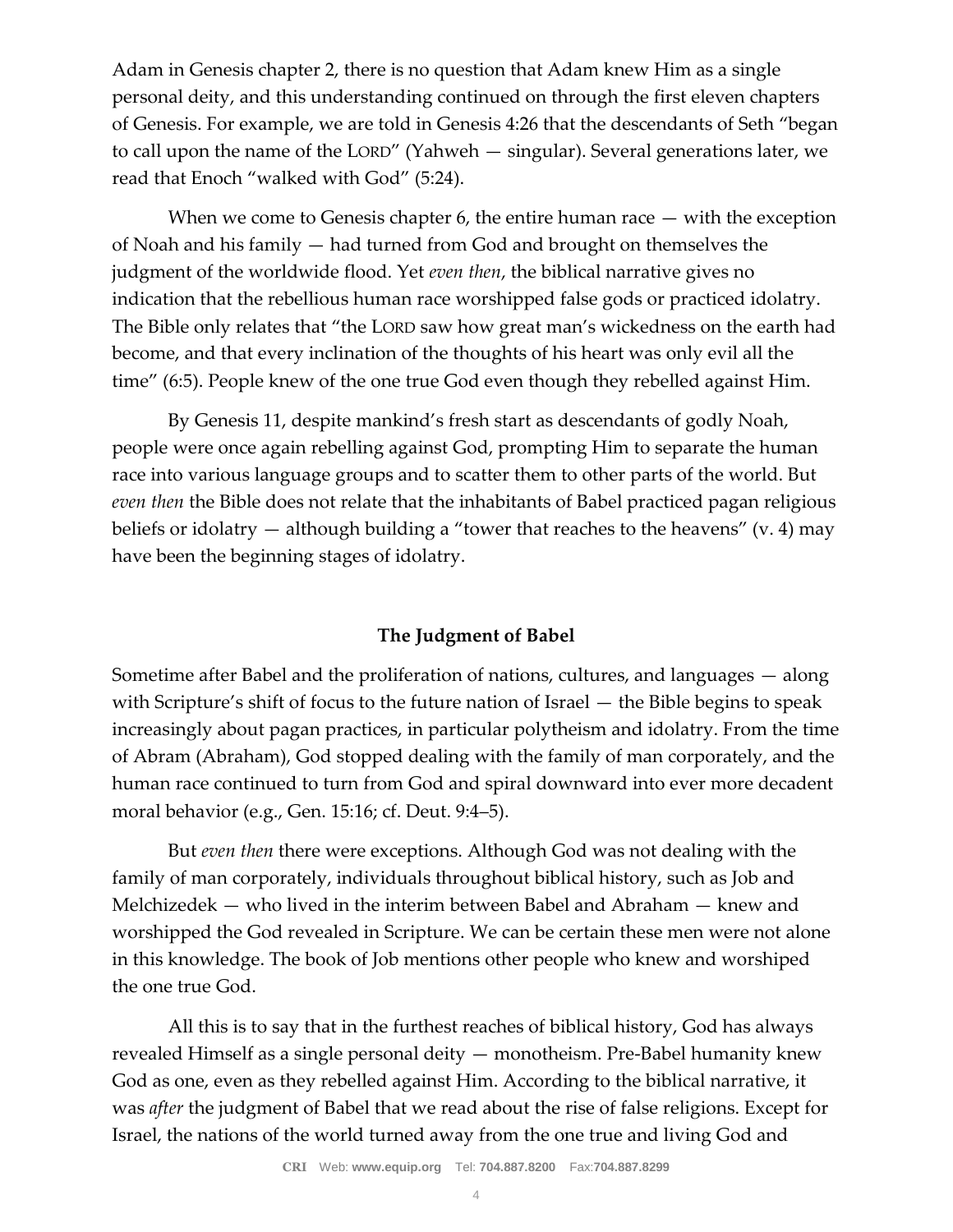Adam in Genesis chapter 2, there is no question that Adam knew Him as a single personal deity, and this understanding continued on through the first eleven chapters of Genesis. For example, we are told in Genesis 4:26 that the descendants of Seth "began to call upon the name of the LORD" (Yahweh — singular). Several generations later, we read that Enoch "walked with God" (5:24).

When we come to Genesis chapter 6, the entire human race — with the exception of Noah and his family — had turned from God and brought on themselves the judgment of the worldwide flood. Yet *even then*, the biblical narrative gives no indication that the rebellious human race worshipped false gods or practiced idolatry. The Bible only relates that "the LORD saw how great man's wickedness on the earth had become, and that every inclination of the thoughts of his heart was only evil all the time" (6:5). People knew of the one true God even though they rebelled against Him.

By Genesis 11, despite mankind's fresh start as descendants of godly Noah, people were once again rebelling against God, prompting Him to separate the human race into various language groups and to scatter them to other parts of the world. But *even then* the Bible does not relate that the inhabitants of Babel practiced pagan religious beliefs or idolatry  $-$  although building a "tower that reaches to the heavens" (v. 4) may have been the beginning stages of idolatry.

#### **The Judgment of Babel**

Sometime after Babel and the proliferation of nations, cultures, and languages — along with Scripture's shift of focus to the future nation of Israel — the Bible begins to speak increasingly about pagan practices, in particular polytheism and idolatry. From the time of Abram (Abraham), God stopped dealing with the family of man corporately, and the human race continued to turn from God and spiral downward into ever more decadent moral behavior (e.g., Gen. 15:16; cf. Deut. 9:4–5).

But *even then* there were exceptions. Although God was not dealing with the family of man corporately, individuals throughout biblical history, such as Job and Melchizedek — who lived in the interim between Babel and Abraham — knew and worshipped the God revealed in Scripture. We can be certain these men were not alone in this knowledge. The book of Job mentions other people who knew and worshiped the one true God.

All this is to say that in the furthest reaches of biblical history, God has always revealed Himself as a single personal deity — monotheism. Pre-Babel humanity knew God as one, even as they rebelled against Him. According to the biblical narrative, it was *after* the judgment of Babel that we read about the rise of false religions. Except for Israel, the nations of the world turned away from the one true and living God and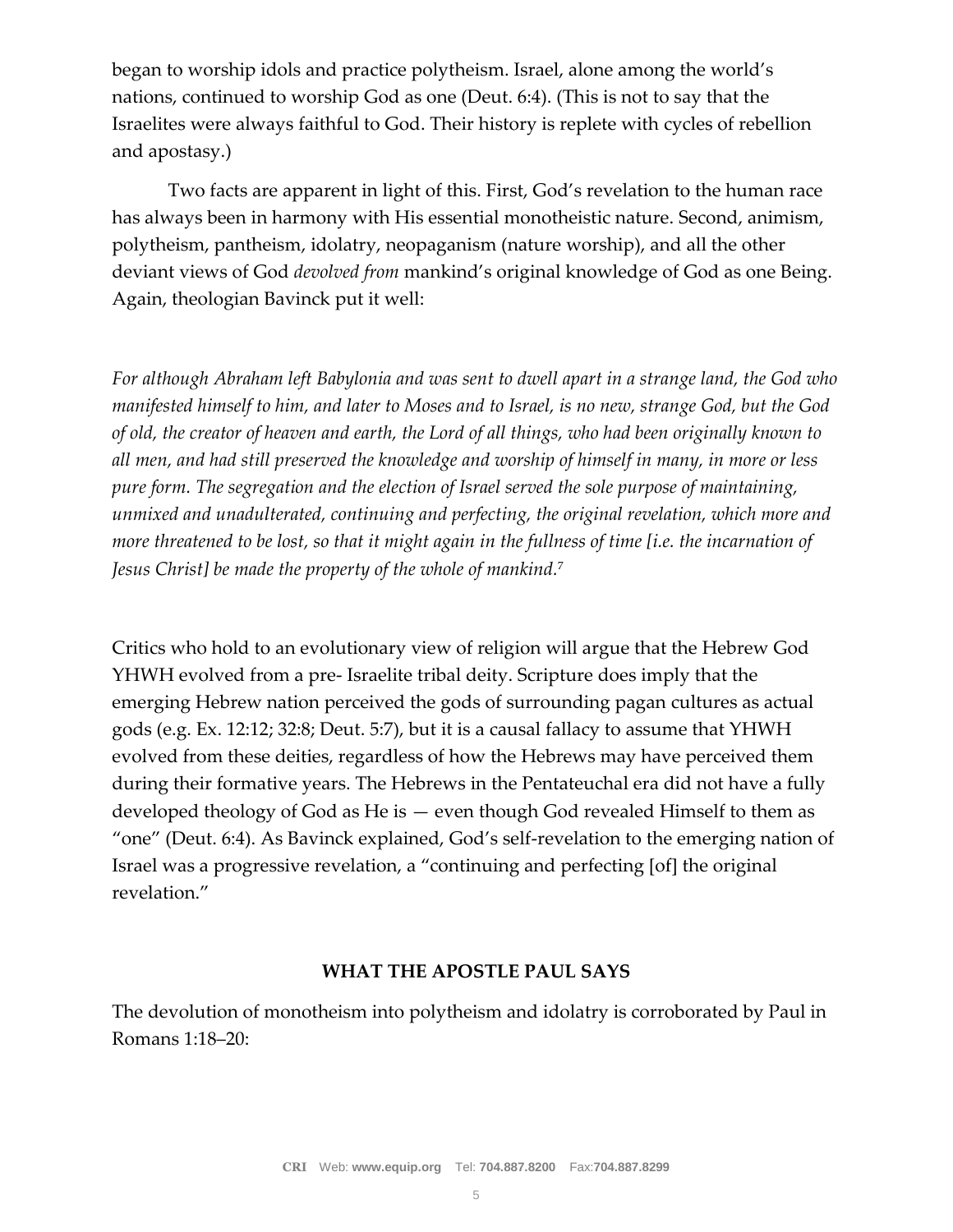began to worship idols and practice polytheism. Israel, alone among the world's nations, continued to worship God as one (Deut. 6:4). (This is not to say that the Israelites were always faithful to God. Their history is replete with cycles of rebellion and apostasy.)

Two facts are apparent in light of this. First, God's revelation to the human race has always been in harmony with His essential monotheistic nature. Second, animism, polytheism, pantheism, idolatry, neopaganism (nature worship), and all the other deviant views of God *devolved from* mankind's original knowledge of God as one Being. Again, theologian Bavinck put it well:

*For although Abraham left Babylonia and was sent to dwell apart in a strange land, the God who manifested himself to him, and later to Moses and to Israel, is no new, strange God, but the God of old, the creator of heaven and earth, the Lord of all things, who had been originally known to all men, and had still preserved the knowledge and worship of himself in many, in more or less pure form. The segregation and the election of Israel served the sole purpose of maintaining, unmixed and unadulterated, continuing and perfecting, the original revelation, which more and more threatened to be lost, so that it might again in the fullness of time [i.e. the incarnation of Jesus Christ] be made the property of the whole of mankind.*<sup>7</sup>

Critics who hold to an evolutionary view of religion will argue that the Hebrew God YHWH evolved from a pre- Israelite tribal deity. Scripture does imply that the emerging Hebrew nation perceived the gods of surrounding pagan cultures as actual gods (e.g. Ex. 12:12; 32:8; Deut. 5:7), but it is a causal fallacy to assume that YHWH evolved from these deities, regardless of how the Hebrews may have perceived them during their formative years. The Hebrews in the Pentateuchal era did not have a fully developed theology of God as He is — even though God revealed Himself to them as "one" (Deut. 6:4). As Bavinck explained, God's self-revelation to the emerging nation of Israel was a progressive revelation, a "continuing and perfecting [of] the original revelation."

#### **WHAT THE APOSTLE PAUL SAYS**

The devolution of monotheism into polytheism and idolatry is corroborated by Paul in Romans 1:18–20: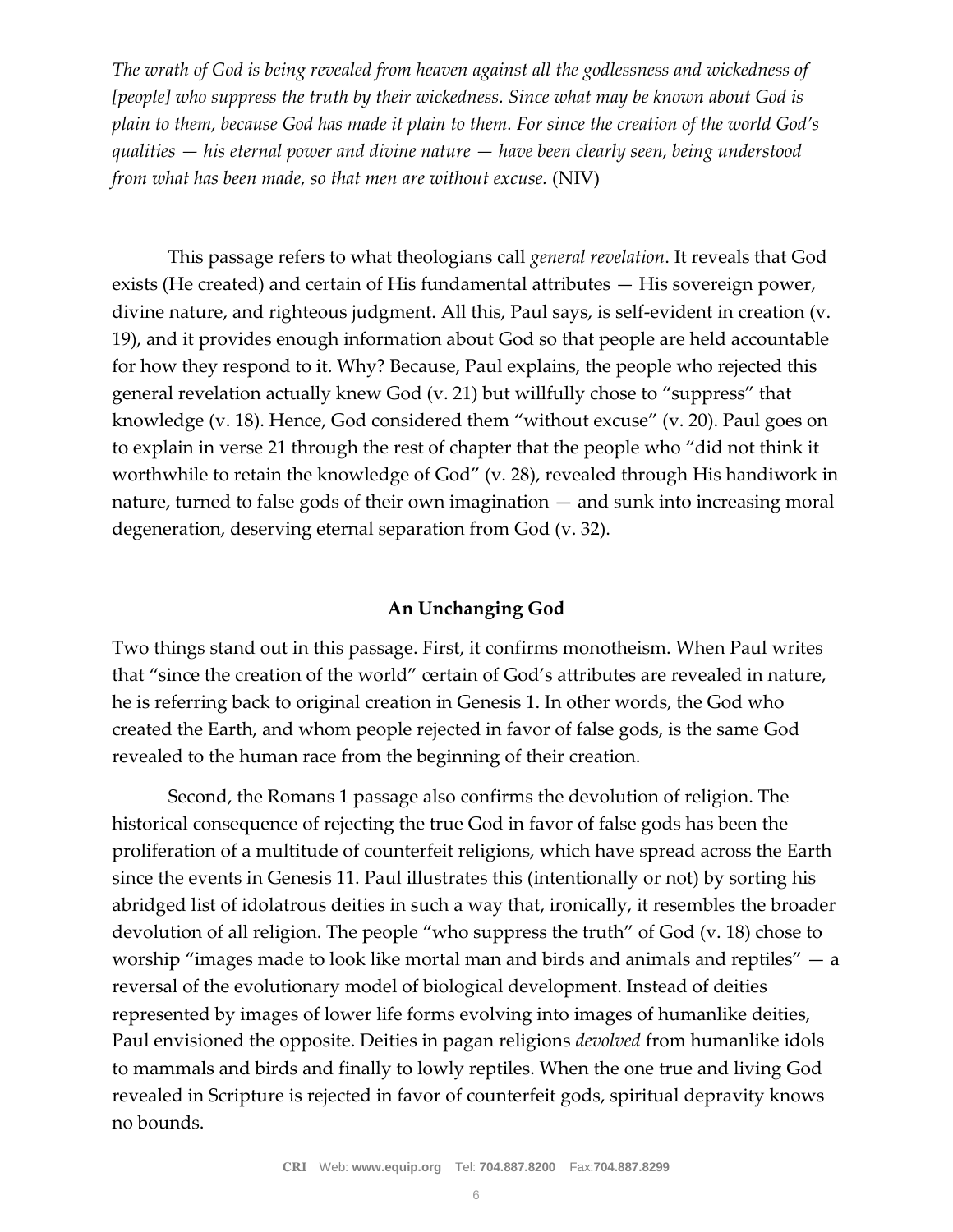*The wrath of God is being revealed from heaven against all the godlessness and wickedness of [people] who suppress the truth by their wickedness. Since what may be known about God is plain to them, because God has made it plain to them. For since the creation of the world God's qualities — his eternal power and divine nature — have been clearly seen, being understood from what has been made, so that men are without excuse.* (NIV)

This passage refers to what theologians call *general revelation*. It reveals that God exists (He created) and certain of His fundamental attributes — His sovereign power, divine nature, and righteous judgment. All this, Paul says, is self-evident in creation (v. 19), and it provides enough information about God so that people are held accountable for how they respond to it. Why? Because, Paul explains, the people who rejected this general revelation actually knew God (v. 21) but willfully chose to "suppress" that knowledge (v. 18). Hence, God considered them "without excuse" (v. 20). Paul goes on to explain in verse 21 through the rest of chapter that the people who "did not think it worthwhile to retain the knowledge of God" (v. 28), revealed through His handiwork in nature, turned to false gods of their own imagination — and sunk into increasing moral degeneration, deserving eternal separation from God (v. 32).

#### **An Unchanging God**

Two things stand out in this passage. First, it confirms monotheism. When Paul writes that "since the creation of the world" certain of God's attributes are revealed in nature, he is referring back to original creation in Genesis 1. In other words, the God who created the Earth, and whom people rejected in favor of false gods, is the same God revealed to the human race from the beginning of their creation.

Second, the Romans 1 passage also confirms the devolution of religion. The historical consequence of rejecting the true God in favor of false gods has been the proliferation of a multitude of counterfeit religions, which have spread across the Earth since the events in Genesis 11. Paul illustrates this (intentionally or not) by sorting his abridged list of idolatrous deities in such a way that, ironically, it resembles the broader devolution of all religion. The people "who suppress the truth" of God (v. 18) chose to worship "images made to look like mortal man and birds and animals and reptiles" — a reversal of the evolutionary model of biological development. Instead of deities represented by images of lower life forms evolving into images of humanlike deities, Paul envisioned the opposite. Deities in pagan religions *devolved* from humanlike idols to mammals and birds and finally to lowly reptiles. When the one true and living God revealed in Scripture is rejected in favor of counterfeit gods, spiritual depravity knows no bounds.